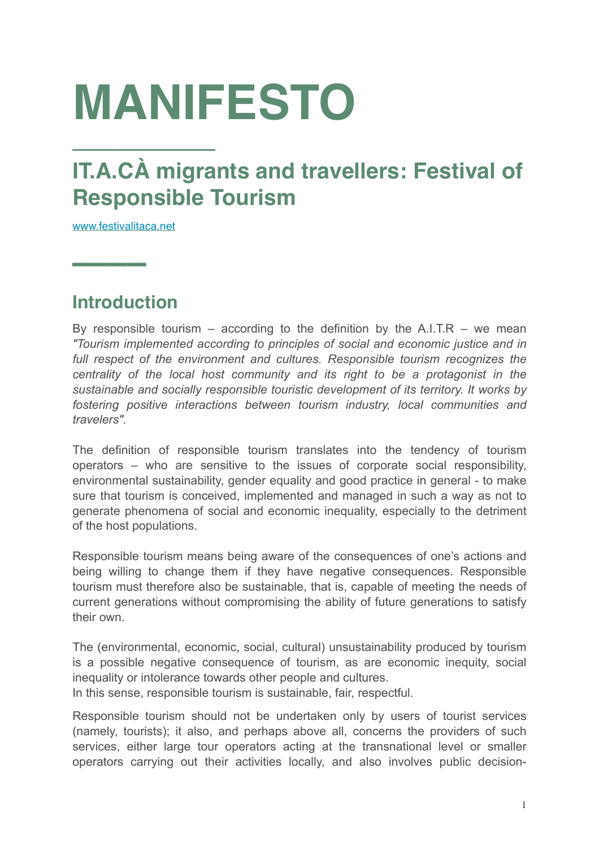# **MANIFESTO**

# **IT.A.CÀ migrants and travellers: Festival of Responsible Tourism**

[www.festivalitaca.net](http://www.festivalitaca.net)

**––––**

# **Introduction**

By responsible tourism – according to the definition by the  $A.I.T.R - we mean$ *"Tourism implemented according to principles of social and economic justice and in full respect of the environment and cultures. Responsible tourism recognizes the centrality of the local host community and its right to be a protagonist in the sustainable and socially responsible touristic development of its territory. It works by fostering positive interactions between tourism industry, local communities and travelers".*

The definition of responsible tourism translates into the tendency of tourism operators – who are sensitive to the issues of corporate social responsibility, environmental sustainability, gender equality and good practice in general - to make sure that tourism is conceived, implemented and managed in such a way as not to generate phenomena of social and economic inequality, especially to the detriment of the host populations.

Responsible tourism means being aware of the consequences of one's actions and being willing to change them if they have negative consequences. Responsible tourism must therefore also be sustainable, that is, capable of meeting the needs of current generations without compromising the ability of future generations to satisfy their own.

The (environmental, economic, social, cultural) unsustainability produced by tourism is a possible negative consequence of tourism, as are economic inequity, social inequality or intolerance towards other people and cultures.

In this sense, responsible tourism is sustainable, fair, respectful.

Responsible tourism should not be undertaken only by users of tourist services (namely, tourists); it also, and perhaps above all, concerns the providers of such services, either large tour operators acting at the transnational level or smaller operators carrying out their activities locally, and also involves public decision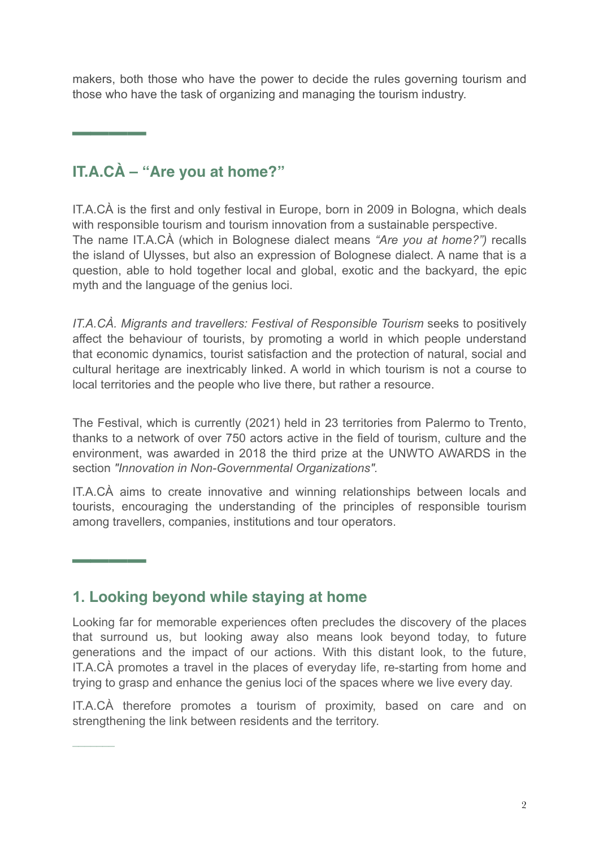makers, both those who have the power to decide the rules governing tourism and those who have the task of organizing and managing the tourism industry.

# **IT.A.CÀ – "Are you at home?"**

**––––**

**––––**

–––––––

IT.A.CÀ is the first and only festival in Europe, born in 2009 in Bologna, which deals with responsible tourism and tourism innovation from a sustainable perspective. The name IT.A.CÀ (which in Bolognese dialect means *"Are you at home?")* recalls the island of Ulysses, but also an expression of Bolognese dialect. A name that is a question, able to hold together local and global, exotic and the backyard, the epic myth and the language of the genius loci.

*IT.A.CÀ. Migrants and travellers: Festival of Responsible Tourism* seeks to positively affect the behaviour of tourists, by promoting a world in which people understand that economic dynamics, tourist satisfaction and the protection of natural, social and cultural heritage are inextricably linked. A world in which tourism is not a course to local territories and the people who live there, but rather a resource.

The Festival, which is currently (2021) held in 23 territories from Palermo to Trento, thanks to a network of over 750 actors active in the field of tourism, culture and the environment, was awarded in 2018 the third prize at the UNWTO AWARDS in the section *"Innovation in Non-Governmental Organizations".*

IT.A.CÀ aims to create innovative and winning relationships between locals and tourists, encouraging the understanding of the principles of responsible tourism among travellers, companies, institutions and tour operators.

# **1. Looking beyond while staying at home**

Looking far for memorable experiences often precludes the discovery of the places that surround us, but looking away also means look beyond today, to future generations and the impact of our actions. With this distant look, to the future, IT.A.CÀ promotes a travel in the places of everyday life, re-starting from home and trying to grasp and enhance the genius loci of the spaces where we live every day.

IT.A.CÀ therefore promotes a tourism of proximity, based on care and on strengthening the link between residents and the territory.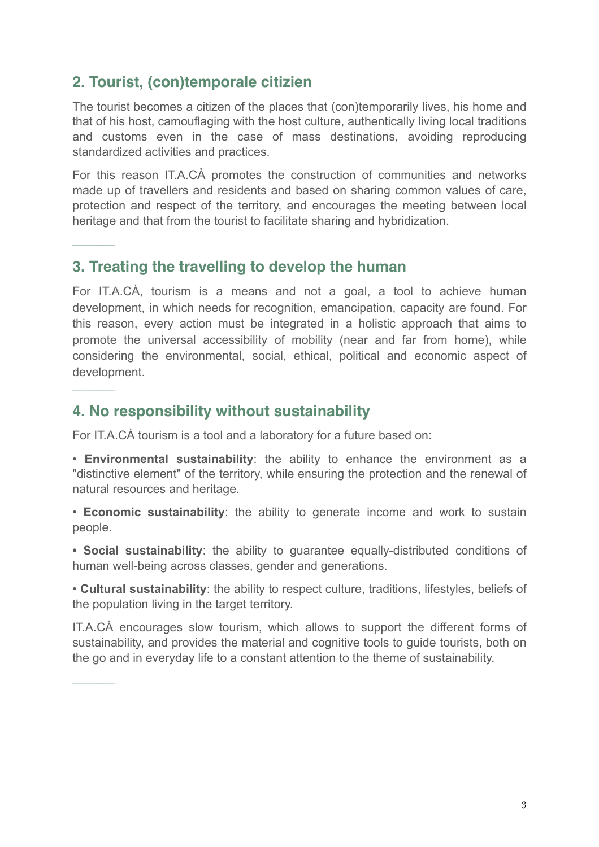# **2. Tourist, (con)temporale citizien**

–––––––

–––––––

–––––––

The tourist becomes a citizen of the places that (con)temporarily lives, his home and that of his host, camouflaging with the host culture, authentically living local traditions and customs even in the case of mass destinations, avoiding reproducing standardized activities and practices.

For this reason IT.A.CÀ promotes the construction of communities and networks made up of travellers and residents and based on sharing common values of care, protection and respect of the territory, and encourages the meeting between local heritage and that from the tourist to facilitate sharing and hybridization.

#### **3. Treating the travelling to develop the human**

For IT.A.CÀ, tourism is a means and not a goal, a tool to achieve human development, in which needs for recognition, emancipation, capacity are found. For this reason, every action must be integrated in a holistic approach that aims to promote the universal accessibility of mobility (near and far from home), while considering the environmental, social, ethical, political and economic aspect of development.

#### **4. No responsibility without sustainability**

For IT.A.CÀ tourism is a tool and a laboratory for a future based on:

• **Environmental sustainability**: the ability to enhance the environment as a "distinctive element" of the territory, while ensuring the protection and the renewal of natural resources and heritage.

• **Economic sustainability**: the ability to generate income and work to sustain people.

**• Social sustainability**: the ability to guarantee equally-distributed conditions of human well-being across classes, gender and generations.

• **Cultural sustainability**: the ability to respect culture, traditions, lifestyles, beliefs of the population living in the target territory.

IT.A.CÀ encourages slow tourism, which allows to support the different forms of sustainability, and provides the material and cognitive tools to guide tourists, both on the go and in everyday life to a constant attention to the theme of sustainability.